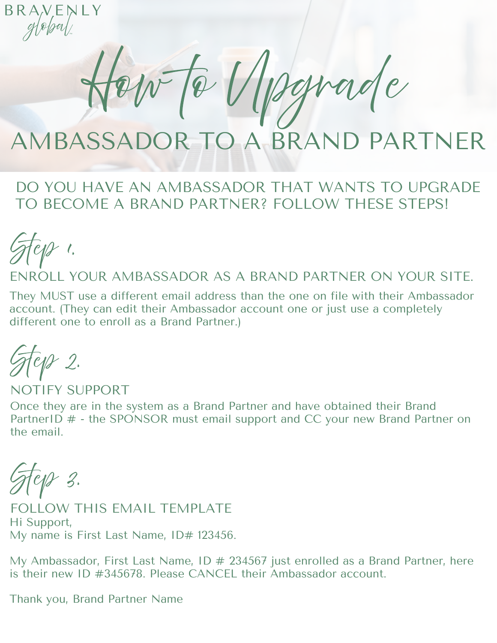BRANENLY  $g(\sqrt{p}/\sqrt{p})$ 

How to Upgrade

## AMBASSADOR TO A BRAND PARTNER

## DO YOU HAVE AN AMBASSADOR THAT WANTS TO UPGRADE TO BECOME A BRAND PARTNER? FOLLOW THESE STEPS!

Step 1.

ENROLL YOUR AMBASSADOR AS A BRAND PARTNER ON YOUR SITE.

They MUST use a different email address than the one on file with their Ambassador account. (They can edit their Ambassador account one or just use a completely different one to enroll as a Brand Partner.)

Fe*s 2.* 

Once they are in the system as a Brand Partner and have obtained their Brand PartnerID  $#$  - the SPONSOR must email support and CC your new Brand Partner on the email. NOTIFY SUPPORT

Step 3.

Hi Support, My name is First Last Name, ID# 123456. FOLLOW THIS EMAIL TEMPLATE

My Ambassador, First Last Name, ID  $\#$  234567 just enrolled as a Brand Partner, here is their new ID #345678. Please CANCEL their Ambassador account.

Thank you, Brand Partner Name